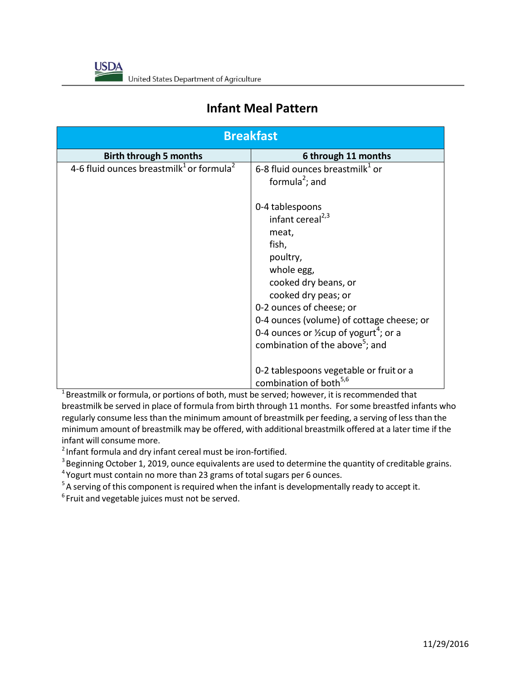

## **Infant Meal Pattern**

| <b>Breakfast</b>                                                 |                                                                                                                                                                                                                                                                                               |
|------------------------------------------------------------------|-----------------------------------------------------------------------------------------------------------------------------------------------------------------------------------------------------------------------------------------------------------------------------------------------|
| <b>Birth through 5 months</b>                                    | 6 through 11 months                                                                                                                                                                                                                                                                           |
| 4-6 fluid ounces breastmilk <sup>1</sup> or formula <sup>2</sup> | 6-8 fluid ounces breastmilk $1$ or<br>formula <sup>2</sup> ; and<br>0-4 tablespoons<br>infant cereal <sup>2,3</sup><br>meat,<br>fish,<br>poultry,<br>whole egg,<br>cooked dry beans, or                                                                                                       |
|                                                                  | cooked dry peas; or<br>0-2 ounces of cheese; or<br>0-4 ounces (volume) of cottage cheese; or<br>0-4 ounces or $\frac{1}{2}$ cup of yogurt <sup>4</sup> ; or a<br>combination of the above <sup>5</sup> ; and<br>0-2 tablespoons vegetable or fruit or a<br>combination of both <sup>5,6</sup> |

 $1$ Breastmilk or formula, or portions of both, must be served; however, it is recommended that breastmilk be served in place of formula from birth through 11 months. For some breastfed infants who regularly consume less than the minimum amount of breastmilk per feeding, a serving of less than the minimum amount of breastmilk may be offered, with additional breastmilk offered at a later time if the infant will consume more.

 $2$ Infant formula and dry infant cereal must be iron-fortified.

 $3$  Beginning October 1, 2019, ounce equivalents are used to determine the quantity of creditable grains.

<sup>4</sup> Yogurt must contain no more than 23 grams of total sugars per 6 ounces.

 $5A$  serving of this component is required when the infant is developmentally ready to accept it.

 $6$ Fruit and vegetable juices must not be served.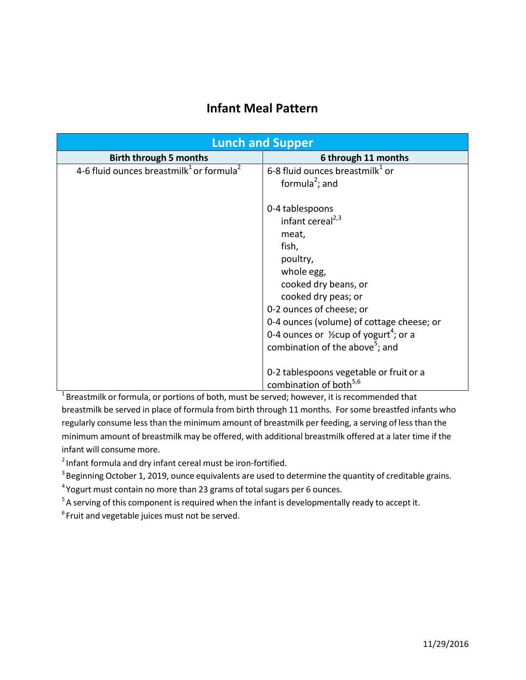## **Infant Meal Pattern**

| <b>Lunch and Supper</b>                                          |                                                               |
|------------------------------------------------------------------|---------------------------------------------------------------|
| <b>Birth through 5 months</b>                                    | 6 through 11 months                                           |
| 4-6 fluid ounces breastmilk <sup>1</sup> or formula <sup>2</sup> | 6-8 fluid ounces breastmilk <sup>1</sup> or                   |
|                                                                  | formula <sup>2</sup> ; and                                    |
|                                                                  |                                                               |
|                                                                  | 0-4 tablespoons                                               |
|                                                                  | infant cereal <sup>2,3</sup>                                  |
|                                                                  | meat,                                                         |
|                                                                  | fish,                                                         |
|                                                                  | poultry,                                                      |
|                                                                  | whole egg,                                                    |
|                                                                  | cooked dry beans, or                                          |
|                                                                  | cooked dry peas; or                                           |
|                                                                  | 0-2 ounces of cheese; or                                      |
|                                                                  | 0-4 ounces (volume) of cottage cheese; or                     |
|                                                                  | 0-4 ounces or $\frac{1}{2}$ cup of yogurt <sup>4</sup> ; or a |
|                                                                  | combination of the above <sup>5</sup> ; and                   |
|                                                                  |                                                               |
|                                                                  | 0-2 tablespoons vegetable or fruit or a                       |
|                                                                  | combination of both <sup>5,6</sup>                            |

 $1$ Breastmilk or formula, or portions of both, must be served; however, it is recommended that breastmilk be served in place of formula from birth through 11 months. For some breastfed infants who regularly consume less than the minimum amount of breastmilk per feeding, a serving of less than the minimum amount of breastmilk may be offered, with additional breastmilk offered at a later time if the infant will consume more.

 $2$ Infant formula and dry infant cereal must be iron-fortified.

<sup>3</sup> Beginning October 1, 2019, ounce equivalents are used to determine the quantity of creditable grains.

<sup>4</sup>Yogurt must contain no more than 23 grams of total sugars per 6 ounces.

<sup>5</sup>A serving of this component is required when the infant is developmentally ready to accept it.

 $6$ Fruit and vegetable juices must not be served.